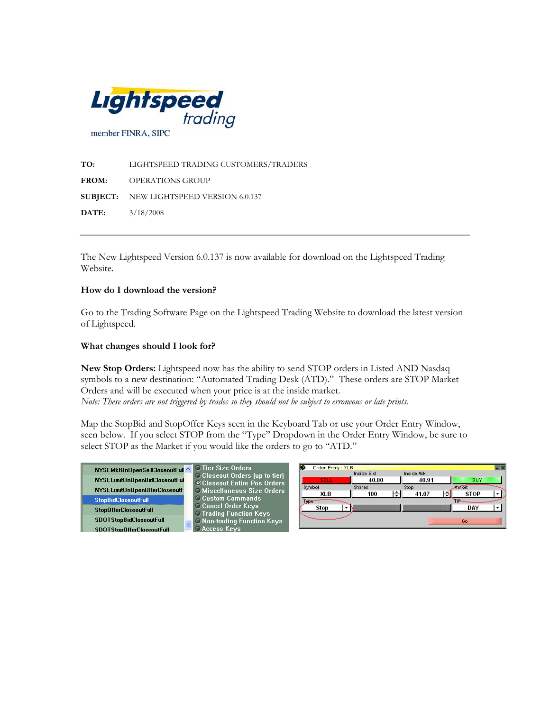

**TO:** LIGHTSPEED TRADING CUSTOMERS/TRADERS **FROM:** OPERATIONS GROUP **SUBJECT:** NEW LIGHTSPEED VERSION 6.0.137 **DATE:** 3/18/2008

The New Lightspeed Version 6.0.137 is now available for download on the Lightspeed Trading Website.

## **How do I download the version?**

Go to the Trading Software Page on the Lightspeed Trading Website to download the latest version of Lightspeed.

## **What changes should I look for?**

**New Stop Orders:** Lightspeed now has the ability to send STOP orders in Listed AND Nasdaq symbols to a new destination: "Automated Trading Desk (ATD)." These orders are STOP Market Orders and will be executed when your price is at the inside market. *Note: These orders are not triggered by trades so they should not be subject to erroneous or late prints.* 

Map the StopBid and StopOffer Keys seen in the Keyboard Tab or use your Order Entry Window, seen below. If you select STOP from the "Type" Dropdown in the Order Entry Window, be sure to select STOP as the Market if you would like the orders to go to "ATD."